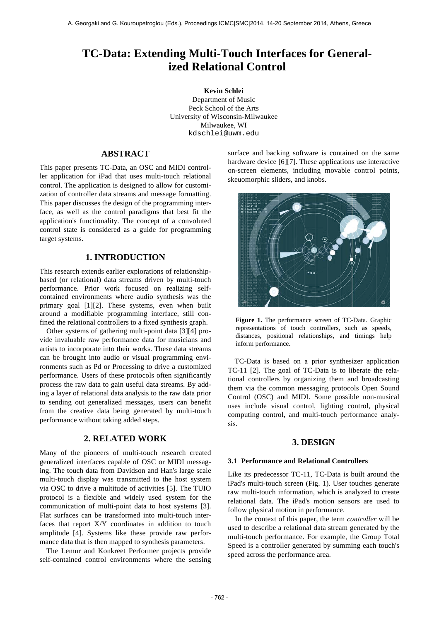# **TC-Data: Extending Multi-Touch Interfaces for Generalized Relational Control**

 **Kevin Schlei** Department of Music Peck School of the Arts University of Wisconsin-Milwaukee Milwaukee, WI kdschlei@uwm.edu

# **ABSTRACT**

This paper presents TC-Data, an OSC and MIDI controller application for iPad that uses multi-touch relational control. The application is designed to allow for customization of controller data streams and message formatting. This paper discusses the design of the programming interface, as well as the control paradigms that best fit the application's functionality. The concept of a convoluted control state is considered as a guide for programming target systems.

# **1. INTRODUCTION**

This research extends earlier explorations of relationshipbased (or relational) data streams driven by multi-touch performance. Prior work focused on realizing selfcontained environments where audio synthesis was the primary goal [1][2]. These systems, even when built around a modifiable programming interface, still confined the relational controllers to a fixed synthesis graph.

Other systems of gathering multi-point data [3][4] provide invaluable raw performance data for musicians and artists to incorporate into their works. These data streams can be brought into audio or visual programming environments such as Pd or Processing to drive a customized performance. Users of these protocols often significantly process the raw data to gain useful data streams. By adding a layer of relational data analysis to the raw data prior to sending out generalized messages, users can benefit from the creative data being generated by multi-touch performance without taking added steps.

# **2. RELATED WORK**

Many of the pioneers of multi-touch research created generalized interfaces capable of OSC or MIDI messaging. The touch data from Davidson and Han's large scale multi-touch display was transmitted to the host system via OSC to drive a multitude of activities [5]. The TUIO protocol is a flexible and widely used system for the communication of multi-point data to host systems [3]. Flat surfaces can be transformed into multi-touch interfaces that report X/Y coordinates in addition to touch amplitude [4]. Systems like these provide raw performance data that is then mapped to synthesis parameters.

The Lemur and Konkreet Performer projects provide self-contained control environments where the sensing surface and backing software is contained on the same hardware device [6][7]. These applications use interactive on-screen elements, including movable control points, skeuomorphic sliders, and knobs.



**Figure 1.** The performance screen of TC-Data. Graphic representations of touch controllers, such as speeds, distances, positional relationships, and timings help inform performance.

TC-Data is based on a prior synthesizer application TC-11 [2]. The goal of TC-Data is to liberate the relational controllers by organizing them and broadcasting them via the common messaging protocols Open Sound Control (OSC) and MIDI. Some possible non-musical uses include visual control, lighting control, physical computing control, and multi-touch performance analysis.

# **3. DESIGN**

#### **3.1 Performance and Relational Controllers**

Like its predecessor TC-11, TC-Data is built around the iPad's multi-touch screen (Fig. 1). User touches generate raw multi-touch information, which is analyzed to create relational data. The iPad's motion sensors are used to follow physical motion in performance.

In the context of this paper, the term *controller* will be used to describe a relational data stream generated by the multi-touch performance. For example, the Group Total Speed is a controller generated by summing each touch's speed across the performance area.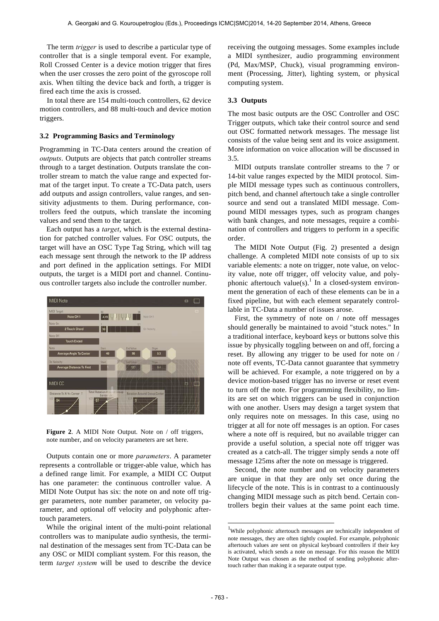The term *trigger* is used to describe a particular type of controller that is a single temporal event. For example, Roll Crossed Center is a device motion trigger that fires when the user crosses the zero point of the gyroscope roll axis. When tilting the device back and forth, a trigger is fired each time the axis is crossed.

In total there are 154 multi-touch controllers, 62 device motion controllers, and 88 multi-touch and device motion triggers.

### **3.2 Programming Basics and Terminology**

Programming in TC-Data centers around the creation of *outputs*. Outputs are objects that patch controller streams through to a target destination. Outputs translate the controller stream to match the value range and expected format of the target input. To create a TC-Data patch, users add outputs and assign controllers, value ranges, and sensitivity adjustments to them. During performance, controllers feed the outputs, which translate the incoming values and send them to the target.

Each output has a *target*, which is the external destination for patched controller values. For OSC outputs, the target will have an OSC Type Tag String, which will tag each message sent through the network to the IP address and port defined in the application settings. For MIDI outputs, the target is a MIDI port and channel. Continuous controller targets also include the controller number.



**Figure 2**. A MIDI Note Output. Note on / off triggers, note number, and on velocity parameters are set here.

Outputs contain one or more *parameters*. A parameter represents a controllable or trigger-able value, which has a defined range limit. For example, a MIDI CC Output has one parameter: the continuous controller value. A MIDI Note Output has six: the note on and note off trigger parameters, note number parameter, on velocity parameter, and optional off velocity and polyphonic aftertouch parameters.

While the original intent of the multi-point relational controllers was to manipulate audio synthesis, the terminal destination of the messages sent from TC-Data can be any OSC or MIDI compliant system. For this reason, the term *target system* will be used to describe the device receiving the outgoing messages. Some examples include a MIDI synthesizer, audio programming environment (Pd, Max/MSP, Chuck), visual programming environment (Processing, Jitter), lighting system, or physical computing system.

## **3.3 Outputs**

The most basic outputs are the OSC Controller and OSC Trigger outputs, which take their control source and send out OSC formatted network messages. The message list consists of the value being sent and its voice assignment. More information on voice allocation will be discussed in 3.5.

MIDI outputs translate controller streams to the 7 or 14-bit value ranges expected by the MIDI protocol. Simple MIDI message types such as continuous controllers, pitch bend, and channel aftertouch take a single controller source and send out a translated MIDI message. Compound MIDI messages types, such as program changes with bank changes, and note messages, require a combination of controllers and triggers to perform in a specific order.

The MIDI Note Output (Fig. 2) presented a design challenge. A completed MIDI note consists of up to six variable elements: a note on trigger, note value, on velocity value, note off trigger, off velocity value, and polyphonic aftertouch value(s).<sup>1</sup> In a closed-system environment the generation of each of these elements can be in a fixed pipeline, but with each element separately controllable in TC-Data a number of issues arose.

First, the symmetry of note on / note off messages should generally be maintained to avoid "stuck notes." In a traditional interface, keyboard keys or buttons solve this issue by physically toggling between on and off, forcing a reset. By allowing any trigger to be used for note on / note off events, TC-Data cannot guarantee that symmetry will be achieved. For example, a note triggered on by a device motion-based trigger has no inverse or reset event to turn off the note. For programming flexibility, no limits are set on which triggers can be used in conjunction with one another. Users may design a target system that only requires note on messages. In this case, using no trigger at all for note off messages is an option. For cases where a note off is required, but no available trigger can provide a useful solution, a special note off trigger was created as a catch-all. The trigger simply sends a note off message 125ms after the note on message is triggered.

Second, the note number and on velocity parameters are unique in that they are only set once during the lifecycle of the note. This is in contrast to a continuously changing MIDI message such as pitch bend. Certain controllers begin their values at the same point each time.

-

<sup>&</sup>lt;sup>1</sup>While polyphonic aftertouch messages are technically independent of note messages, they are often tightly coupled. For example, polyphonic aftertouch values are sent on physical keyboard controllers if their key is activated, which sends a note on message. For this reason the MIDI Note Output was chosen as the method of sending polyphonic aftertouch rather than making it a separate output type.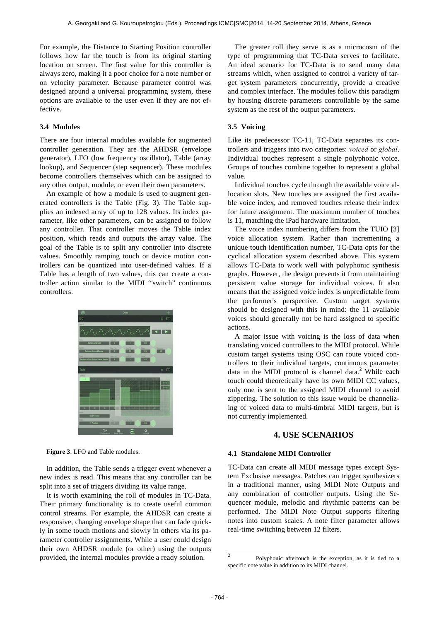For example, the Distance to Starting Position controller follows how far the touch is from its original starting location on screen. The first value for this controller is always zero, making it a poor choice for a note number or on velocity parameter. Because parameter control was designed around a universal programming system, these options are available to the user even if they are not effective.

## **3.4 Modules**

There are four internal modules available for augmented controller generation. They are the AHDSR (envelope generator), LFO (low frequency oscillator), Table (array lookup), and Sequencer (step sequencer). These modules become controllers themselves which can be assigned to any other output, module, or even their own parameters.

An example of how a module is used to augment generated controllers is the Table (Fig. 3). The Table supplies an indexed array of up to 128 values. Its index parameter, like other parameters, can be assigned to follow any controller. That controller moves the Table index position, which reads and outputs the array value. The goal of the Table is to split any controller into discrete values. Smoothly ramping touch or device motion controllers can be quantized into user-defined values. If a Table has a length of two values, this can create a controller action similar to the MIDI "'switch" continuous controllers.



**Figure 3**. LFO and Table modules.

In addition, the Table sends a trigger event whenever a new index is read. This means that any controller can be split into a set of triggers dividing its value range.

It is worth examining the roll of modules in TC-Data. Their primary functionality is to create useful common control streams. For example, the AHDSR can create a responsive, changing envelope shape that can fade quickly in some touch motions and slowly in others via its parameter controller assignments. While a user could design their own AHDSR module (or other) using the outputs provided, the internal modules provide a ready solution.

The greater roll they serve is as a microcosm of the type of programming that TC-Data serves to facilitate. An ideal scenario for TC-Data is to send many data streams which, when assigned to control a variety of target system parameters concurrently, provide a creative and complex interface. The modules follow this paradigm by housing discrete parameters controllable by the same system as the rest of the output parameters.

## **3.5 Voicing**

Like its predecessor TC-11, TC-Data separates its controllers and triggers into two categories: *voiced* or *global*. Individual touches represent a single polyphonic voice. Groups of touches combine together to represent a global value.

Individual touches cycle through the available voice allocation slots. New touches are assigned the first available voice index, and removed touches release their index for future assignment. The maximum number of touches is 11, matching the iPad hardware limitation.

The voice index numbering differs from the TUIO [3] voice allocation system. Rather than incrementing a unique touch identification number, TC-Data opts for the cyclical allocation system described above. This system allows TC-Data to work well with polyphonic synthesis graphs. However, the design prevents it from maintaining persistent value storage for individual voices. It also means that the assigned voice index is unpredictable from the performer's perspective. Custom target systems should be designed with this in mind: the 11 available voices should generally not be hard assigned to specific actions.

A major issue with voicing is the loss of data when translating voiced controllers to the MIDI protocol. While custom target systems using OSC can route voiced controllers to their individual targets, continuous parameter data in the MIDI protocol is channel data.<sup>2</sup> While each touch could theoretically have its own MIDI CC values, only one is sent to the assigned MIDI channel to avoid zippering. The solution to this issue would be channelizing of voiced data to multi-timbral MIDI targets, but is not currently implemented.

# **4. USE SCENARIOS**

### **4.1 Standalone MIDI Controller**

TC-Data can create all MIDI message types except System Exclusive messages. Patches can trigger synthesizers in a traditional manner, using MIDI Note Outputs and any combination of controller outputs. Using the Sequencer module, melodic and rhythmic patterns can be performed. The MIDI Note Output supports filtering notes into custom scales. A note filter parameter allows real-time switching between 12 filters.

<sup>&</sup>lt;sup>2</sup> Polyphonic aftertouch is the exception, as it is tied to a specific note value in addition to its MIDI channel.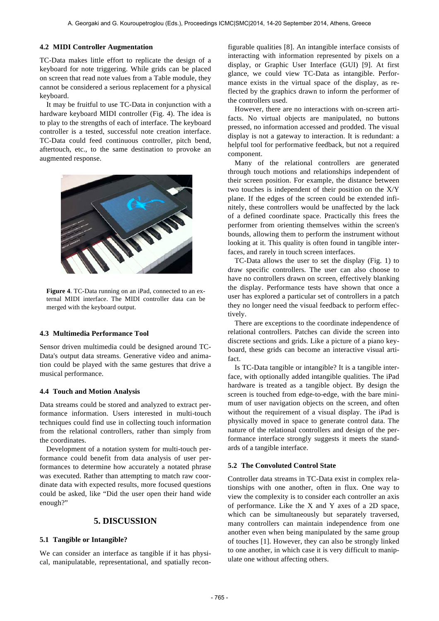## **4.2 MIDI Controller Augmentation**

TC-Data makes little effort to replicate the design of a keyboard for note triggering. While grids can be placed on screen that read note values from a Table module, they cannot be considered a serious replacement for a physical keyboard.

It may be fruitful to use TC-Data in conjunction with a hardware keyboard MIDI controller (Fig. 4). The idea is to play to the strengths of each of interface. The keyboard controller is a tested, successful note creation interface. TC-Data could feed continuous controller, pitch bend, aftertouch, etc., to the same destination to provoke an augmented response.



**Figure 4**. TC-Data running on an iPad, connected to an external MIDI interface. The MIDI controller data can be merged with the keyboard output.

#### **4.3 Multimedia Performance Tool**

Sensor driven multimedia could be designed around TC-Data's output data streams. Generative video and animation could be played with the same gestures that drive a musical performance.

## **4.4 Touch and Motion Analysis**

Data streams could be stored and analyzed to extract performance information. Users interested in multi-touch techniques could find use in collecting touch information from the relational controllers, rather than simply from the coordinates.

Development of a notation system for multi-touch performance could benefit from data analysis of user performances to determine how accurately a notated phrase was executed. Rather than attempting to match raw coordinate data with expected results, more focused questions could be asked, like "Did the user open their hand wide enough?"

# **5. DISCUSSION**

## **5.1 Tangible or Intangible?**

We can consider an interface as tangible if it has physical, manipulatable, representational, and spatially reconfigurable qualities [8]. An intangible interface consists of interacting with information represented by pixels on a display, or Graphic User Interface (GUI) [9]. At first glance, we could view TC-Data as intangible. Performance exists in the virtual space of the display, as reflected by the graphics drawn to inform the performer of the controllers used.

However, there are no interactions with on-screen artifacts. No virtual objects are manipulated, no buttons pressed, no information accessed and prodded. The visual display is not a gateway to interaction. It is redundant: a helpful tool for performative feedback, but not a required component.

Many of the relational controllers are generated through touch motions and relationships independent of their screen position. For example, the distance between two touches is independent of their position on the X/Y plane. If the edges of the screen could be extended infinitely, these controllers would be unaffected by the lack of a defined coordinate space. Practically this frees the performer from orienting themselves within the screen's bounds, allowing them to perform the instrument without looking at it. This quality is often found in tangible interfaces, and rarely in touch screen interfaces.

TC-Data allows the user to set the display (Fig. 1) to draw specific controllers. The user can also choose to have no controllers drawn on screen, effectively blanking the display. Performance tests have shown that once a user has explored a particular set of controllers in a patch they no longer need the visual feedback to perform effectively.

There are exceptions to the coordinate independence of relational controllers. Patches can divide the screen into discrete sections and grids. Like a picture of a piano keyboard, these grids can become an interactive visual artifact.

Is TC-Data tangible or intangible? It is a tangible interface, with optionally added intangible qualities. The iPad hardware is treated as a tangible object. By design the screen is touched from edge-to-edge, with the bare minimum of user navigation objects on the screen, and often without the requirement of a visual display. The iPad is physically moved in space to generate control data. The nature of the relational controllers and design of the performance interface strongly suggests it meets the standards of a tangible interface.

#### **5.2 The Convoluted Control State**

Controller data streams in TC-Data exist in complex relationships with one another, often in flux. One way to view the complexity is to consider each controller an axis of performance. Like the X and Y axes of a 2D space, which can be simultaneously but separately traversed, many controllers can maintain independence from one another even when being manipulated by the same group of touches [1]. However, they can also be strongly linked to one another, in which case it is very difficult to manipulate one without affecting others.